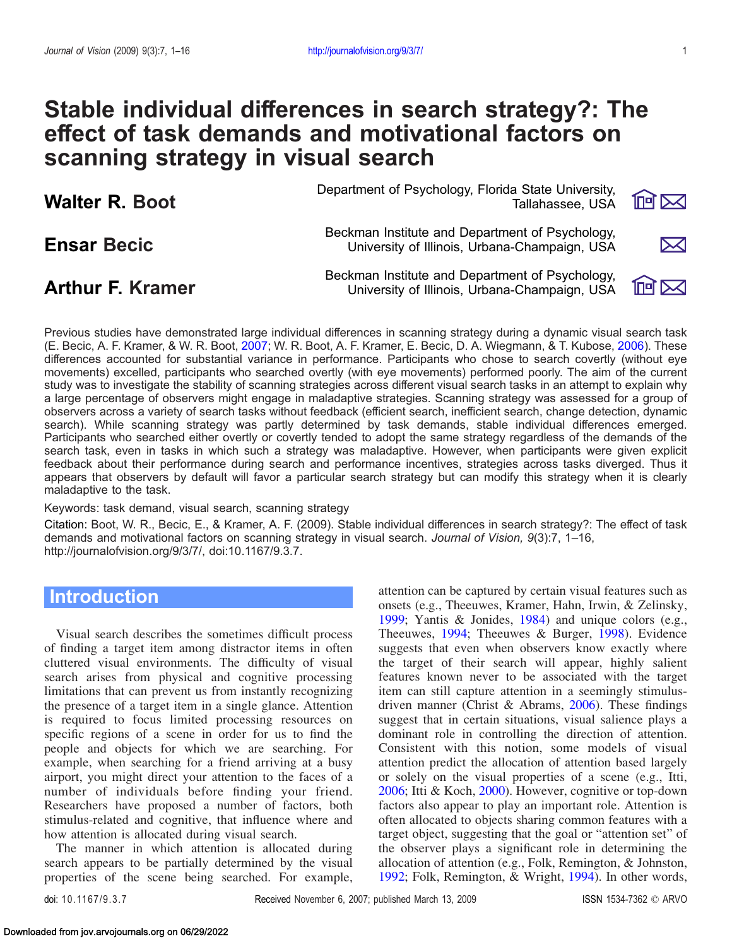# Stable individual differences in search strategy?: The effect of task demands and motivational factors on scanning strategy in visual search

Walter R. Boot

Department of Psychology, Florida State University,

Beckman Institute and Department of Psychology, Ensar Becic University of Illinois, Urbana-Champaign, USA



 $\ln$ p $\infty$ 

Beckman Institute and Department of Psychology, Arthur F. Kramer University of Illinois, Urbana-Champaign, USA

> attention can be captured by certain visual features such as onsets (e.g., Theeuwes, Kramer, Hahn, Irwin, & Zelinsky, [1999;](#page-14-0) Yantis & Jonides, [1984](#page-15-0)) and unique colors (e.g., Theeuwes, [1994;](#page-14-0) Theeuwes & Burger, [1998\)](#page-14-0). Evidence suggests that even when observers know exactly where the target of their search will appear, highly salient features known never to be associated with the target item can still capture attention in a seemingly stimulusdriven manner (Christ & Abrams, [2006](#page-13-0)). These findings suggest that in certain situations, visual salience plays a dominant role in controlling the direction of attention. Consistent with this notion, some models of visual attention predict the allocation of attention based largely or solely on the visual properties of a scene (e.g., Itti, [2006;](#page-14-0) Itti & Koch, [2000\)](#page-14-0). However, cognitive or top-down factors also appear to play an important role. Attention is often allocated to objects sharing common features with a target object, suggesting that the goal or "attention set" of the observer plays a significant role in determining the allocation of attention (e.g., Folk, Remington, & Johnston, [1992;](#page-13-0) Folk, Remington, & Wright, [1994](#page-14-0)). In other words,



Previous studies have demonstrated large individual differences in scanning strategy during a dynamic visual search task (E. Becic, A. F. Kramer, & W. R. Boot, [2007](#page-13-0); W. R. Boot, A. F. Kramer, E. Becic, D. A. Wiegmann, & T. Kubose, [2006\)](#page-13-0). These differences accounted for substantial variance in performance. Participants who chose to search covertly (without eye movements) excelled, participants who searched overtly (with eye movements) performed poorly. The aim of the current study was to investigate the stability of scanning strategies across different visual search tasks in an attempt to explain why a large percentage of observers might engage in maladaptive strategies. Scanning strategy was assessed for a group of observers across a variety of search tasks without feedback (efficient search, inefficient search, change detection, dynamic search). While scanning strategy was partly determined by task demands, stable individual differences emerged. Participants who searched either overtly or covertly tended to adopt the same strategy regardless of the demands of the search task, even in tasks in which such a strategy was maladaptive. However, when participants were given explicit feedback about their performance during search and performance incentives, strategies across tasks diverged. Thus it appears that observers by default will favor a particular search strategy but can modify this strategy when it is clearly maladaptive to the task.

Keywords: task demand, visual search, scanning strategy

Citation: Boot, W. R., Becic, E., & Kramer, A. F. (2009). Stable individual differences in search strategy?: The effect of task demands and motivational factors on scanning strategy in visual search. Journal of Vision, 9(3):7, 1*–*16, http://journalofvision.org/9/3/7/, doi:10.1167/9.3.7.

## Introduction

Visual search describes the sometimes difficult process of finding a target item among distractor items in often cluttered visual environments. The difficulty of visual search arises from physical and cognitive processing limitations that can prevent us from instantly recognizing the presence of a target item in a single glance. Attention is required to focus limited processing resources on specific regions of a scene in order for us to find the people and objects for which we are searching. For example, when searching for a friend arriving at a busy airport, you might direct your attention to the faces of a number of individuals before finding your friend. Researchers have proposed a number of factors, both stimulus-related and cognitive, that influence where and how attention is allocated during visual search.

The manner in which attention is allocated during search appears to be partially determined by the visual properties of the scene being searched. For example,

Downloaded from jov.arvojournals.org on 06/29/2022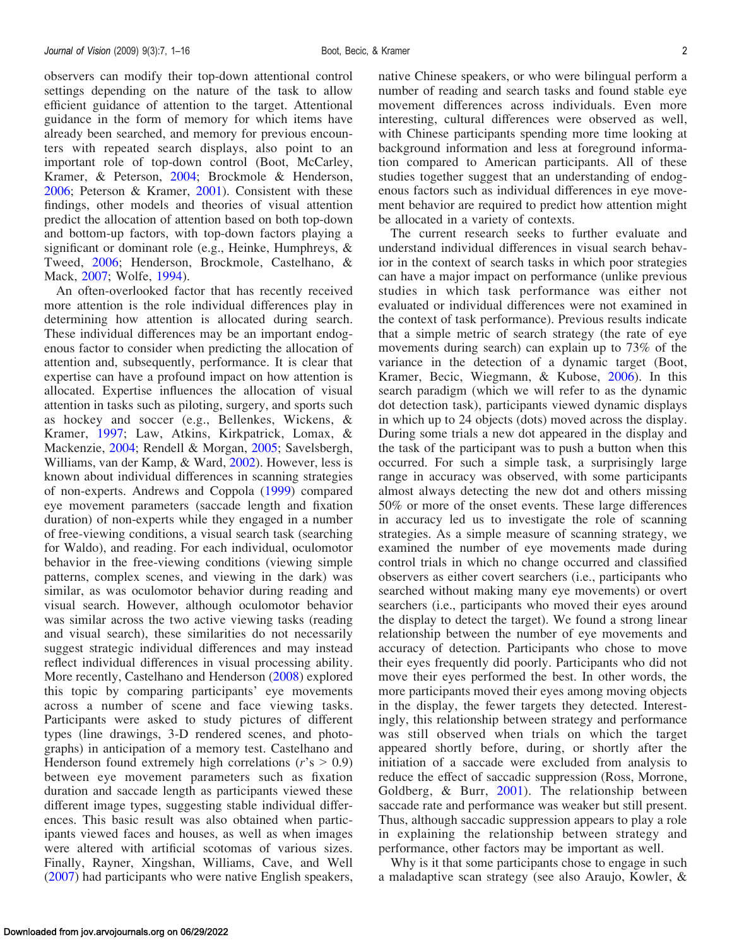observers can modify their top-down attentional control settings depending on the nature of the task to allow efficient guidance of attention to the target. Attentional guidance in the form of memory for which items have already been searched, and memory for previous encounters with repeated search displays, also point to an important role of top-down control (Boot, McCarley, Kramer, & Peterson, [2004](#page-13-0); Brockmole & Henderson, [2006;](#page-13-0) Peterson & Kramer, [2001\)](#page-14-0). Consistent with these findings, other models and theories of visual attention predict the allocation of attention based on both top-down and bottom-up factors, with top-down factors playing a significant or dominant role (e.g., Heinke, Humphreys, & Tweed, [2006](#page-14-0); Henderson, Brockmole, Castelhano, & Mack, [2007](#page-14-0); Wolfe, [1994\)](#page-15-0).

An often-overlooked factor that has recently received more attention is the role individual differences play in determining how attention is allocated during search. These individual differences may be an important endogenous factor to consider when predicting the allocation of attention and, subsequently, performance. It is clear that expertise can have a profound impact on how attention is allocated. Expertise influences the allocation of visual attention in tasks such as piloting, surgery, and sports such as hockey and soccer (e.g., Bellenkes, Wickens, & Kramer, [1997](#page-13-0); Law, Atkins, Kirkpatrick, Lomax, & Mackenzie, [2004](#page-14-0); Rendell & Morgan, [2005](#page-14-0); Savelsbergh, Williams, van der Kamp, & Ward, [2002\)](#page-14-0). However, less is known about individual differences in scanning strategies of non-experts. Andrews and Coppola [\(1999](#page-13-0)) compared eye movement parameters (saccade length and fixation duration) of non-experts while they engaged in a number of free-viewing conditions, a visual search task (searching for Waldo), and reading. For each individual, oculomotor behavior in the free-viewing conditions (viewing simple patterns, complex scenes, and viewing in the dark) was similar, as was oculomotor behavior during reading and visual search. However, although oculomotor behavior was similar across the two active viewing tasks (reading and visual search), these similarities do not necessarily suggest strategic individual differences and may instead reflect individual differences in visual processing ability. More recently, Castelhano and Henderson [\(2008](#page-13-0)) explored this topic by comparing participants' eye movements across a number of scene and face viewing tasks. Participants were asked to study pictures of different types (line drawings, 3-D rendered scenes, and photographs) in anticipation of a memory test. Castelhano and Henderson found extremely high correlations ( $r$ 's  $> 0.9$ ) between eye movement parameters such as fixation duration and saccade length as participants viewed these different image types, suggesting stable individual differences. This basic result was also obtained when participants viewed faces and houses, as well as when images were altered with artificial scotomas of various sizes. Finally, Rayner, Xingshan, Williams, Cave, and Well ([2007\)](#page-14-0) had participants who were native English speakers,

native Chinese speakers, or who were bilingual perform a number of reading and search tasks and found stable eye movement differences across individuals. Even more interesting, cultural differences were observed as well, with Chinese participants spending more time looking at background information and less at foreground information compared to American participants. All of these studies together suggest that an understanding of endogenous factors such as individual differences in eye movement behavior are required to predict how attention might be allocated in a variety of contexts.

The current research seeks to further evaluate and understand individual differences in visual search behavior in the context of search tasks in which poor strategies can have a major impact on performance (unlike previous studies in which task performance was either not evaluated or individual differences were not examined in the context of task performance). Previous results indicate that a simple metric of search strategy (the rate of eye movements during search) can explain up to 73% of the variance in the detection of a dynamic target (Boot, Kramer, Becic, Wiegmann, & Kubose, [2006\)](#page-13-0). In this search paradigm (which we will refer to as the dynamic dot detection task), participants viewed dynamic displays in which up to 24 objects (dots) moved across the display. During some trials a new dot appeared in the display and the task of the participant was to push a button when this occurred. For such a simple task, a surprisingly large range in accuracy was observed, with some participants almost always detecting the new dot and others missing 50% or more of the onset events. These large differences in accuracy led us to investigate the role of scanning strategies. As a simple measure of scanning strategy, we examined the number of eye movements made during control trials in which no change occurred and classified observers as either covert searchers (i.e., participants who searched without making many eye movements) or overt searchers (i.e., participants who moved their eyes around the display to detect the target). We found a strong linear relationship between the number of eye movements and accuracy of detection. Participants who chose to move their eyes frequently did poorly. Participants who did not move their eyes performed the best. In other words, the more participants moved their eyes among moving objects in the display, the fewer targets they detected. Interestingly, this relationship between strategy and performance was still observed when trials on which the target appeared shortly before, during, or shortly after the initiation of a saccade were excluded from analysis to reduce the effect of saccadic suppression (Ross, Morrone, Goldberg, & Burr, [2001](#page-14-0)). The relationship between saccade rate and performance was weaker but still present. Thus, although saccadic suppression appears to play a role in explaining the relationship between strategy and performance, other factors may be important as well.

Why is it that some participants chose to engage in such a maladaptive scan strategy (see also Araujo, Kowler, &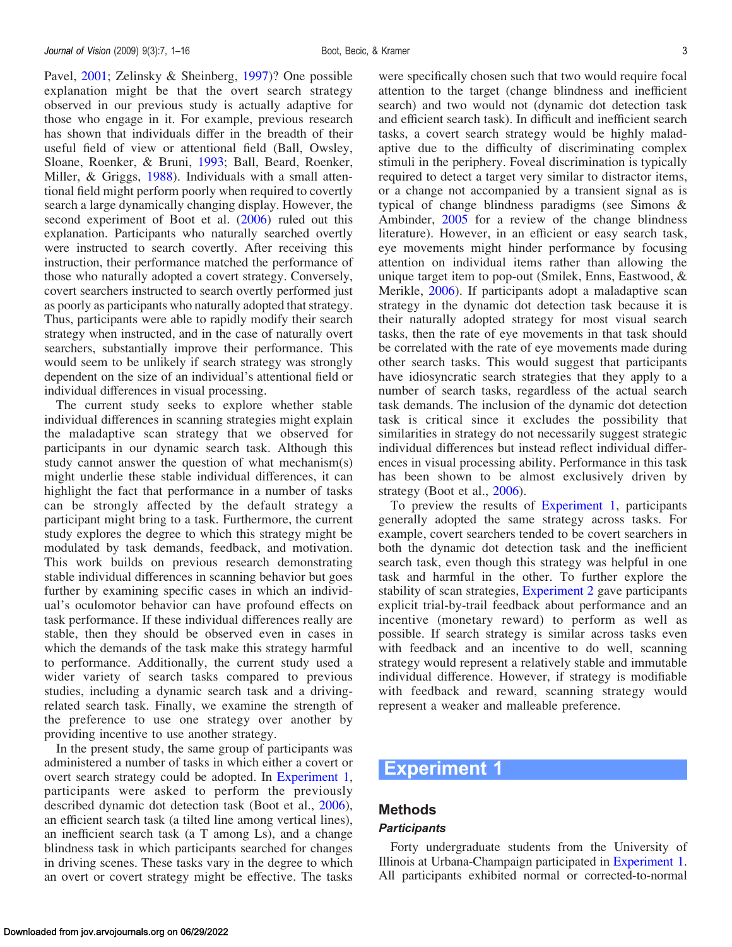<span id="page-2-0"></span>Pavel, [2001;](#page-13-0) Zelinsky & Sheinberg, [1997\)](#page-15-0)? One possible explanation might be that the overt search strategy observed in our previous study is actually adaptive for those who engage in it. For example, previous research has shown that individuals differ in the breadth of their useful field of view or attentional field (Ball, Owsley, Sloane, Roenker, & Bruni, [1993](#page-13-0); Ball, Beard, Roenker, Miller, & Griggs, [1988\)](#page-13-0). Individuals with a small attentional field might perform poorly when required to covertly search a large dynamically changing display. However, the second experiment of Boot et al. [\(2006](#page-13-0)) ruled out this explanation. Participants who naturally searched overtly were instructed to search covertly. After receiving this instruction, their performance matched the performance of those who naturally adopted a covert strategy. Conversely, covert searchers instructed to search overtly performed just as poorly as participants who naturally adopted that strategy. Thus, participants were able to rapidly modify their search strategy when instructed, and in the case of naturally overt searchers, substantially improve their performance. This would seem to be unlikely if search strategy was strongly dependent on the size of an individual's attentional field or individual differences in visual processing.

The current study seeks to explore whether stable individual differences in scanning strategies might explain the maladaptive scan strategy that we observed for participants in our dynamic search task. Although this study cannot answer the question of what mechanism(s) might underlie these stable individual differences, it can highlight the fact that performance in a number of tasks can be strongly affected by the default strategy a participant might bring to a task. Furthermore, the current study explores the degree to which this strategy might be modulated by task demands, feedback, and motivation. This work builds on previous research demonstrating stable individual differences in scanning behavior but goes further by examining specific cases in which an individual's oculomotor behavior can have profound effects on task performance. If these individual differences really are stable, then they should be observed even in cases in which the demands of the task make this strategy harmful to performance. Additionally, the current study used a wider variety of search tasks compared to previous studies, including a dynamic search task and a drivingrelated search task. Finally, we examine the strength of the preference to use one strategy over another by providing incentive to use another strategy.

In the present study, the same group of participants was administered a number of tasks in which either a covert or overt search strategy could be adopted. In Experiment 1, participants were asked to perform the previously described dynamic dot detection task (Boot et al., [2006\)](#page-13-0), an efficient search task (a tilted line among vertical lines), an inefficient search task (a T among Ls), and a change blindness task in which participants searched for changes in driving scenes. These tasks vary in the degree to which an overt or covert strategy might be effective. The tasks were specifically chosen such that two would require focal attention to the target (change blindness and inefficient search) and two would not (dynamic dot detection task and efficient search task). In difficult and inefficient search tasks, a covert search strategy would be highly maladaptive due to the difficulty of discriminating complex stimuli in the periphery. Foveal discrimination is typically required to detect a target very similar to distractor items, or a change not accompanied by a transient signal as is typical of change blindness paradigms (see Simons & Ambinder, [2005](#page-14-0) for a review of the change blindness literature). However, in an efficient or easy search task, eye movements might hinder performance by focusing attention on individual items rather than allowing the unique target item to pop-out (Smilek, Enns, Eastwood, & Merikle, [2006\)](#page-14-0). If participants adopt a maladaptive scan strategy in the dynamic dot detection task because it is their naturally adopted strategy for most visual search tasks, then the rate of eye movements in that task should be correlated with the rate of eye movements made during other search tasks. This would suggest that participants have idiosyncratic search strategies that they apply to a number of search tasks, regardless of the actual search task demands. The inclusion of the dynamic dot detection task is critical since it excludes the possibility that similarities in strategy do not necessarily suggest strategic individual differences but instead reflect individual differences in visual processing ability. Performance in this task has been shown to be almost exclusively driven by strategy (Boot et al., [2006](#page-13-0)).

To preview the results of Experiment 1, participants generally adopted the same strategy across tasks. For example, covert searchers tended to be covert searchers in both the dynamic dot detection task and the inefficient search task, even though this strategy was helpful in one task and harmful in the other. To further explore the stability of scan strategies, [Experiment 2](#page-10-0) gave participants explicit trial-by-trail feedback about performance and an incentive (monetary reward) to perform as well as possible. If search strategy is similar across tasks even with feedback and an incentive to do well, scanning strategy would represent a relatively stable and immutable individual difference. However, if strategy is modifiable with feedback and reward, scanning strategy would represent a weaker and malleable preference.

## Experiment 1

## Methods

### **Participants**

Forty undergraduate students from the University of Illinois at Urbana-Champaign participated in Experiment 1. All participants exhibited normal or corrected-to-normal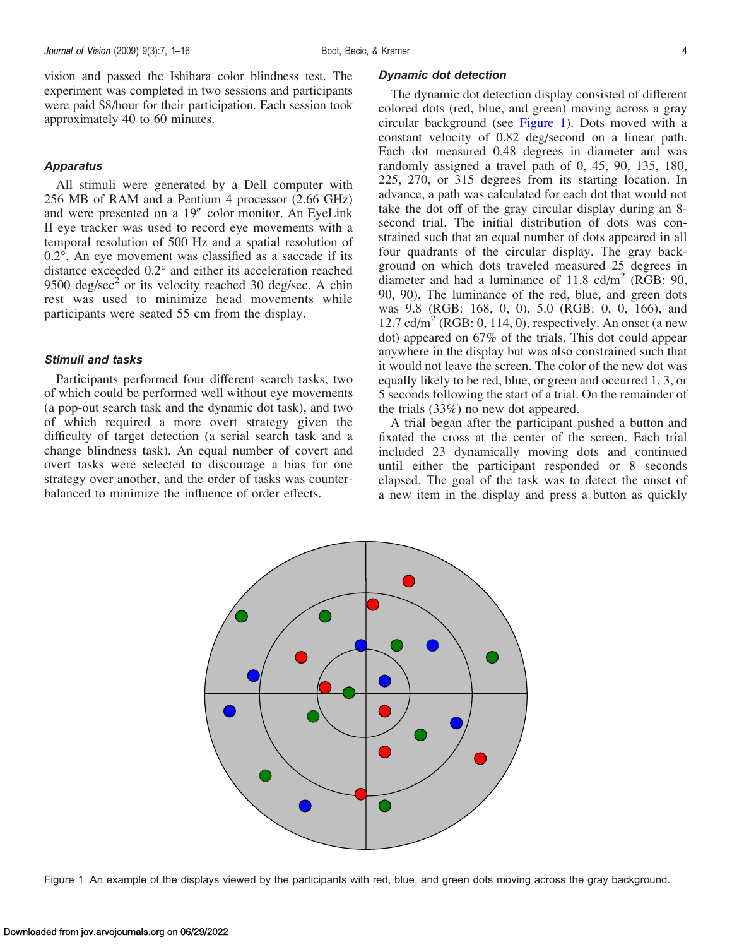vision and passed the Ishihara color blindness test. The experiment was completed in two sessions and participants were paid \$8/hour for their participation. Each session took approximately 40 to 60 minutes.

#### Apparatus

All stimuli were generated by a Dell computer with 256 MB of RAM and a Pentium 4 processor (2.66 GHz) and were presented on a 19*W* color monitor. An EyeLink II eye tracker was used to record eye movements with a temporal resolution of 500 Hz and a spatial resolution of  $0.2^{\circ}$ . An eye movement was classified as a saccade if its distance exceeded 0.2° and either its acceleration reached 9500 deg/sec<sup>2</sup> or its velocity reached 30 deg/sec. A chin rest was used to minimize head movements while participants were seated 55 cm from the display.

#### Stimuli and tasks

Participants performed four different search tasks, two of which could be performed well without eye movements (a pop-out search task and the dynamic dot task), and two of which required a more overt strategy given the difficulty of target detection (a serial search task and a change blindness task). An equal number of covert and overt tasks were selected to discourage a bias for one strategy over another, and the order of tasks was counterbalanced to minimize the influence of order effects.

#### Dynamic dot detection

The dynamic dot detection display consisted of different colored dots (red, blue, and green) moving across a gray circular background (see Figure 1). Dots moved with a constant velocity of 0.82 deg/second on a linear path. Each dot measured 0.48 degrees in diameter and was randomly assigned a travel path of 0, 45, 90, 135, 180, 225, 270, or 315 degrees from its starting location. In advance, a path was calculated for each dot that would not take the dot off of the gray circular display during an 8 second trial. The initial distribution of dots was constrained such that an equal number of dots appeared in all four quadrants of the circular display. The gray background on which dots traveled measured 25 degrees in diameter and had a luminance of 11.8 cd/m<sup>2</sup> (RGB: 90, 90, 90). The luminance of the red, blue, and green dots was 9.8 (RGB: 168, 0, 0), 5.0 (RGB: 0, 0, 166), and 12.7 cd/m<sup>2</sup> (RGB: 0, 114, 0), respectively. An onset (a new dot) appeared on 67% of the trials. This dot could appear anywhere in the display but was also constrained such that it would not leave the screen. The color of the new dot was equally likely to be red, blue, or green and occurred 1, 3, or 5 seconds following the start of a trial. On the remainder of the trials (33%) no new dot appeared.

A trial began after the participant pushed a button and fixated the cross at the center of the screen. Each trial included 23 dynamically moving dots and continued until either the participant responded or 8 seconds elapsed. The goal of the task was to detect the onset of a new item in the display and press a button as quickly



Figure 1. An example of the displays viewed by the participants with red, blue, and green dots moving across the gray background.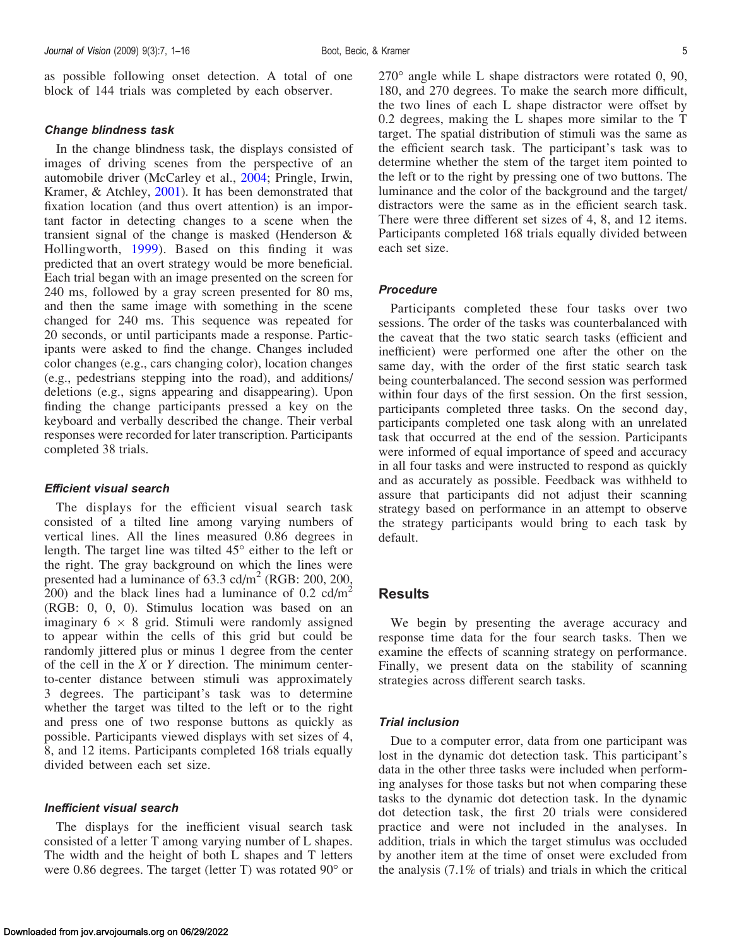as possible following onset detection. A total of one block of 144 trials was completed by each observer.

#### Change blindness task

In the change blindness task, the displays consisted of images of driving scenes from the perspective of an automobile driver (McCarley et al., [2004](#page-14-0); Pringle, Irwin, Kramer, & Atchley, [2001](#page-14-0)). It has been demonstrated that fixation location (and thus overt attention) is an important factor in detecting changes to a scene when the transient signal of the change is masked (Henderson & Hollingworth, [1999\)](#page-14-0). Based on this finding it was predicted that an overt strategy would be more beneficial. Each trial began with an image presented on the screen for 240 ms, followed by a gray screen presented for 80 ms, and then the same image with something in the scene changed for 240 ms. This sequence was repeated for 20 seconds, or until participants made a response. Participants were asked to find the change. Changes included color changes (e.g., cars changing color), location changes (e.g., pedestrians stepping into the road), and additions/ deletions (e.g., signs appearing and disappearing). Upon finding the change participants pressed a key on the keyboard and verbally described the change. Their verbal responses were recorded for later transcription. Participants completed 38 trials.

#### Efficient visual search

The displays for the efficient visual search task consisted of a tilted line among varying numbers of vertical lines. All the lines measured 0.86 degrees in length. The target line was tilted  $45^\circ$  either to the left or the right. The gray background on which the lines were presented had a luminance of  $63.3$  cd/m<sup>2</sup> (RGB: 200, 200, 200) and the black lines had a luminance of 0.2 cd/m<sup>2</sup> (RGB: 0, 0, 0). Stimulus location was based on an imaginary  $6 \times 8$  grid. Stimuli were randomly assigned to appear within the cells of this grid but could be randomly jittered plus or minus 1 degree from the center of the cell in the  $X$  or  $Y$  direction. The minimum centerto-center distance between stimuli was approximately 3 degrees. The participant's task was to determine whether the target was tilted to the left or to the right and press one of two response buttons as quickly as possible. Participants viewed displays with set sizes of 4, 8, and 12 items. Participants completed 168 trials equally divided between each set size.

#### Inefficient visual search

The displays for the inefficient visual search task consisted of a letter T among varying number of L shapes. The width and the height of both L shapes and T letters were 0.86 degrees. The target (letter T) was rotated  $90^{\circ}$  or  $270^{\circ}$  angle while L shape distractors were rotated 0, 90, 180, and 270 degrees. To make the search more difficult, the two lines of each L shape distractor were offset by 0.2 degrees, making the L shapes more similar to the T target. The spatial distribution of stimuli was the same as the efficient search task. The participant's task was to determine whether the stem of the target item pointed to the left or to the right by pressing one of two buttons. The luminance and the color of the background and the target/ distractors were the same as in the efficient search task. There were three different set sizes of 4, 8, and 12 items. Participants completed 168 trials equally divided between each set size.

#### Procedure

Participants completed these four tasks over two sessions. The order of the tasks was counterbalanced with the caveat that the two static search tasks (efficient and inefficient) were performed one after the other on the same day, with the order of the first static search task being counterbalanced. The second session was performed within four days of the first session. On the first session, participants completed three tasks. On the second day, participants completed one task along with an unrelated task that occurred at the end of the session. Participants were informed of equal importance of speed and accuracy in all four tasks and were instructed to respond as quickly and as accurately as possible. Feedback was withheld to assure that participants did not adjust their scanning strategy based on performance in an attempt to observe the strategy participants would bring to each task by default.

#### Results

We begin by presenting the average accuracy and response time data for the four search tasks. Then we examine the effects of scanning strategy on performance. Finally, we present data on the stability of scanning strategies across different search tasks.

#### Trial inclusion

Due to a computer error, data from one participant was lost in the dynamic dot detection task. This participant's data in the other three tasks were included when performing analyses for those tasks but not when comparing these tasks to the dynamic dot detection task. In the dynamic dot detection task, the first 20 trials were considered practice and were not included in the analyses. In addition, trials in which the target stimulus was occluded by another item at the time of onset were excluded from the analysis (7.1% of trials) and trials in which the critical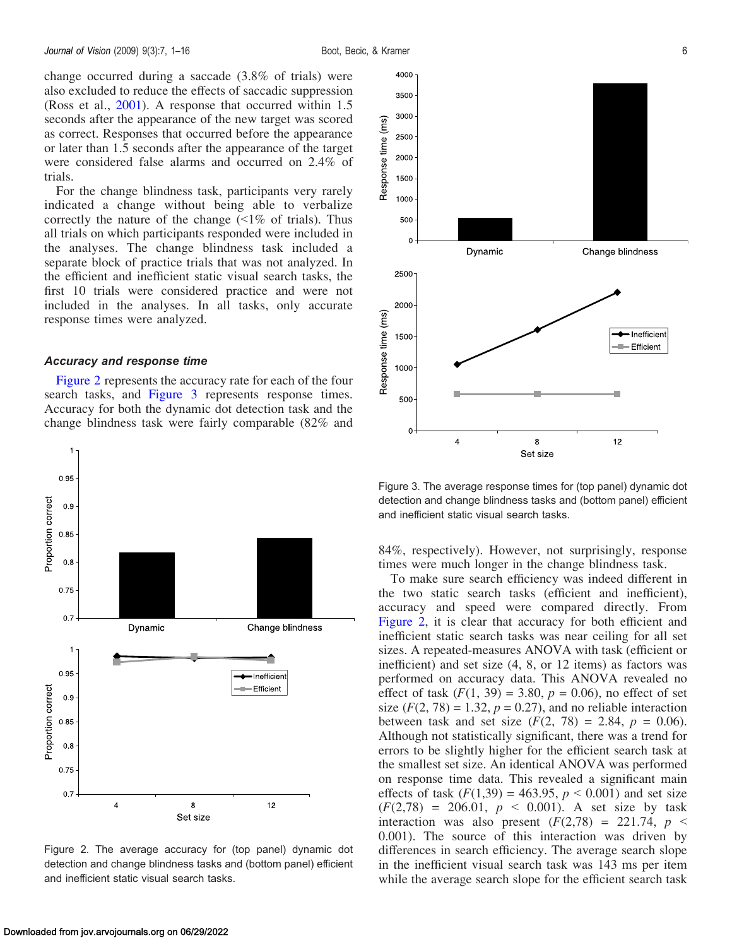change occurred during a saccade (3.8% of trials) were also excluded to reduce the effects of saccadic suppression (Ross et al., [2001\)](#page-14-0). A response that occurred within 1.5 seconds after the appearance of the new target was scored as correct. Responses that occurred before the appearance or later than 1.5 seconds after the appearance of the target were considered false alarms and occurred on 2.4% of trials.

For the change blindness task, participants very rarely indicated a change without being able to verbalize correctly the nature of the change  $\ll 1\%$  of trials). Thus all trials on which participants responded were included in the analyses. The change blindness task included a separate block of practice trials that was not analyzed. In the efficient and inefficient static visual search tasks, the first 10 trials were considered practice and were not included in the analyses. In all tasks, only accurate response times were analyzed.

#### Accuracy and response time

Figure 2 represents the accuracy rate for each of the four search tasks, and Figure 3 represents response times. Accuracy for both the dynamic dot detection task and the change blindness task were fairly comparable (82% and



Figure 2. The average accuracy for (top panel) dynamic dot detection and change blindness tasks and (bottom panel) efficient and inefficient static visual search tasks.



Figure 3. The average response times for (top panel) dynamic dot detection and change blindness tasks and (bottom panel) efficient and inefficient static visual search tasks.

84%, respectively). However, not surprisingly, response times were much longer in the change blindness task.

To make sure search efficiency was indeed different in the two static search tasks (efficient and inefficient), accuracy and speed were compared directly. From Figure 2, it is clear that accuracy for both efficient and inefficient static search tasks was near ceiling for all set sizes. A repeated-measures ANOVA with task (efficient or inefficient) and set size (4, 8, or 12 items) as factors was performed on accuracy data. This ANOVA revealed no effect of task  $(F(1, 39) = 3.80, p = 0.06)$ , no effect of set size  $(F(2, 78) = 1.32, p = 0.27)$ , and no reliable interaction between task and set size  $(F(2, 78) = 2.84, p = 0.06)$ . Although not statistically significant, there was a trend for errors to be slightly higher for the efficient search task at the smallest set size. An identical ANOVA was performed on response time data. This revealed a significant main effects of task  $(F(1,39) = 463.95, p < 0.001)$  and set size  $(F(2,78) = 206.01, p < 0.001)$ . A set size by task interaction was also present  $(F(2, 78) = 221.74, p <$ 0.001). The source of this interaction was driven by differences in search efficiency. The average search slope in the inefficient visual search task was 143 ms per item while the average search slope for the efficient search task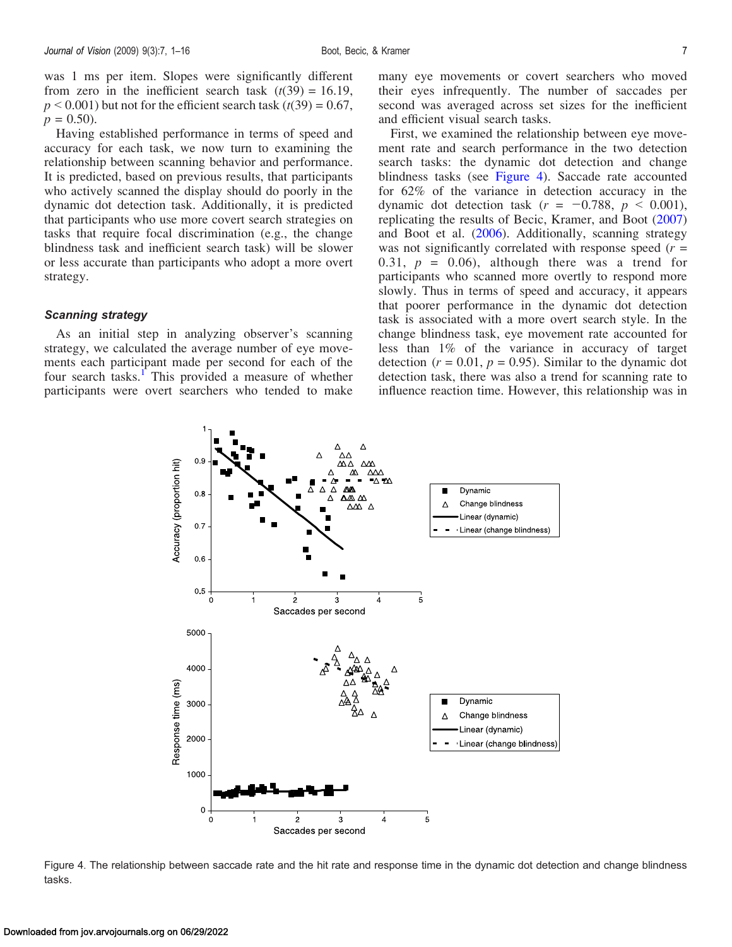<span id="page-6-0"></span>was 1 ms per item. Slopes were significantly different from zero in the inefficient search task  $(t(39) = 16.19$ ,  $p < 0.001$ ) but not for the efficient search task ( $t(39) = 0.67$ ,  $p = 0.50$ ).

Having established performance in terms of speed and accuracy for each task, we now turn to examining the relationship between scanning behavior and performance. It is predicted, based on previous results, that participants who actively scanned the display should do poorly in the dynamic dot detection task. Additionally, it is predicted that participants who use more covert search strategies on tasks that require focal discrimination (e.g., the change blindness task and inefficient search task) will be slower or less accurate than participants who adopt a more overt strategy.

#### Scanning strategy

As an initial step in analyzing observer's scanning strategy, we calculated the average number of eye movements each participant made per second for each of the four search tasks.<sup>[1](#page-13-0)</sup> This provided a measure of whether participants were overt searchers who tended to make many eye movements or covert searchers who moved their eyes infrequently. The number of saccades per second was averaged across set sizes for the inefficient and efficient visual search tasks.

First, we examined the relationship between eye movement rate and search performance in the two detection search tasks: the dynamic dot detection and change blindness tasks (see Figure 4). Saccade rate accounted for 62% of the variance in detection accuracy in the dynamic dot detection task  $(r = -0.788, p < 0.001)$ , replicating the results of Becic, Kramer, and Boot [\(2007](#page-13-0)) and Boot et al. [\(2006](#page-13-0)). Additionally, scanning strategy was not significantly correlated with response speed  $(r =$ 0.31,  $p = 0.06$ , although there was a trend for participants who scanned more overtly to respond more slowly. Thus in terms of speed and accuracy, it appears that poorer performance in the dynamic dot detection task is associated with a more overt search style. In the change blindness task, eye movement rate accounted for less than 1% of the variance in accuracy of target detection ( $r = 0.01$ ,  $p = 0.95$ ). Similar to the dynamic dot detection task, there was also a trend for scanning rate to influence reaction time. However, this relationship was in



Figure 4. The relationship between saccade rate and the hit rate and response time in the dynamic dot detection and change blindness tasks.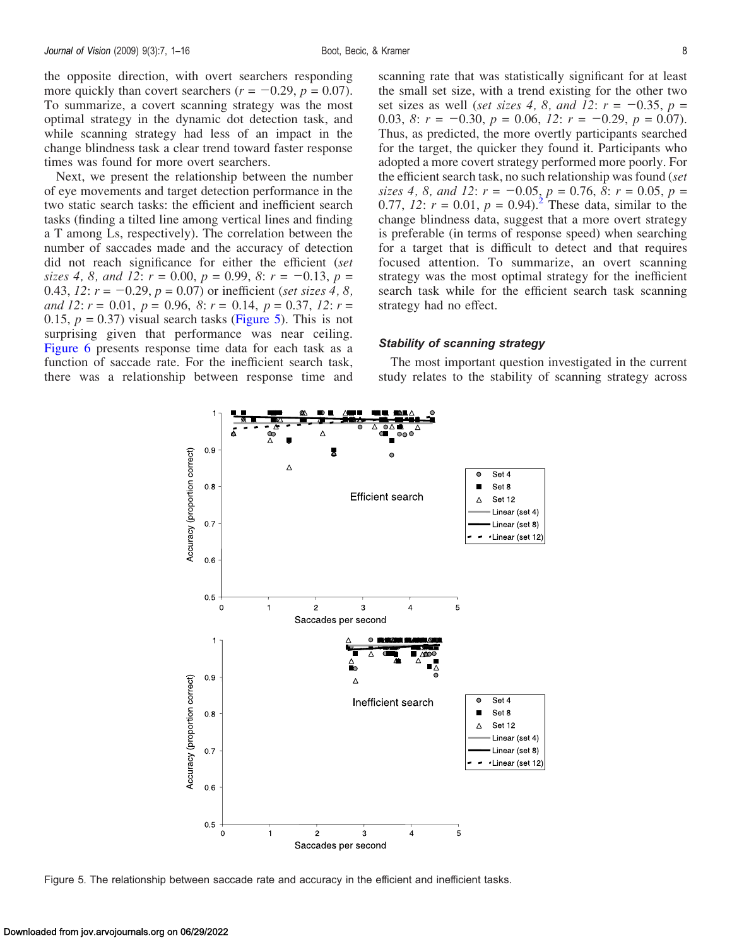<span id="page-7-0"></span>the opposite direction, with overt searchers responding more quickly than covert searchers ( $r = -0.29$ ,  $p = 0.07$ ). To summarize, a covert scanning strategy was the most optimal strategy in the dynamic dot detection task, and while scanning strategy had less of an impact in the change blindness task a clear trend toward faster response times was found for more overt searchers.

Next, we present the relationship between the number of eye movements and target detection performance in the two static search tasks: the efficient and inefficient search tasks (finding a tilted line among vertical lines and finding a T among Ls, respectively). The correlation between the number of saccades made and the accuracy of detection did not reach significance for either the efficient (set sizes 4, 8, and 12:  $r = 0.00$ ,  $p = 0.99$ , 8:  $r = -0.13$ ,  $p =$ 0.43, 12:  $r = -0.29$ ,  $p = 0.07$ ) or inefficient (set sizes 4, 8, and 12:  $r = 0.01$ ,  $p = 0.96$ ,  $8: r = 0.14$ ,  $p = 0.37$ , 12:  $r =$ 0.15,  $p = 0.37$ ) visual search tasks (Figure 5). This is not surprising given that performance was near ceiling. [Figure 6](#page-8-0) presents response time data for each task as a function of saccade rate. For the inefficient search task, there was a relationship between response time and scanning rate that was statistically significant for at least the small set size, with a trend existing for the other two set sizes as well (set sizes 4, 8, and 12:  $r = -0.35$ ,  $p =$ 0.03, 8:  $r = -0.30$ ,  $p = 0.06$ , 12:  $r = -0.29$ ,  $p = 0.07$ ). Thus, as predicted, the more overtly participants searched for the target, the quicker they found it. Participants who adopted a more covert strategy performed more poorly. For the efficient search task, no such relationship was found (set sizes 4, 8, and 12:  $r = -0.05$ ,  $p = 0.76$ , 8:  $r = 0.05$ ,  $p =$ 0.77, 1[2](#page-13-0):  $r = 0.01$ ,  $p = 0.94$ ).<sup>2</sup> These data, similar to the change blindness data, suggest that a more overt strategy is preferable (in terms of response speed) when searching for a target that is difficult to detect and that requires focused attention. To summarize, an overt scanning strategy was the most optimal strategy for the inefficient search task while for the efficient search task scanning strategy had no effect.

#### Stability of scanning strategy

The most important question investigated in the current study relates to the stability of scanning strategy across



Figure 5. The relationship between saccade rate and accuracy in the efficient and inefficient tasks.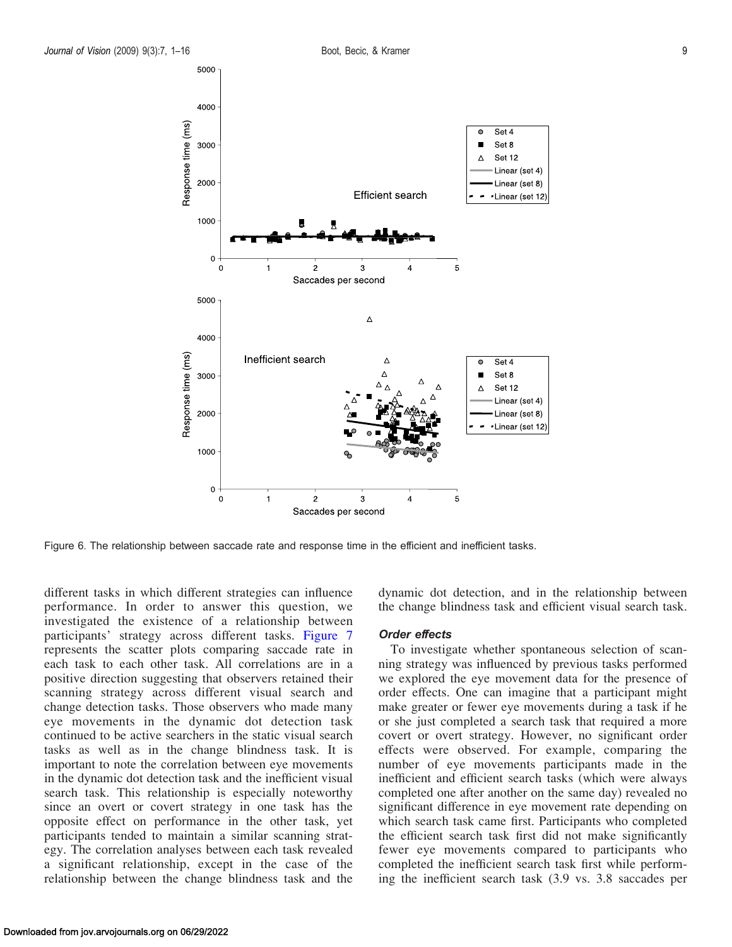<span id="page-8-0"></span>

Figure 6. The relationship between saccade rate and response time in the efficient and inefficient tasks.

different tasks in which different strategies can influence performance. In order to answer this question, we investigated the existence of a relationship between participants' strategy across different tasks. [Figure 7](#page-9-0) represents the scatter plots comparing saccade rate in each task to each other task. All correlations are in a positive direction suggesting that observers retained their scanning strategy across different visual search and change detection tasks. Those observers who made many eye movements in the dynamic dot detection task continued to be active searchers in the static visual search tasks as well as in the change blindness task. It is important to note the correlation between eye movements in the dynamic dot detection task and the inefficient visual search task. This relationship is especially noteworthy since an overt or covert strategy in one task has the opposite effect on performance in the other task, yet participants tended to maintain a similar scanning strategy. The correlation analyses between each task revealed a significant relationship, except in the case of the relationship between the change blindness task and the

dynamic dot detection, and in the relationship between the change blindness task and efficient visual search task.

#### Order effects

To investigate whether spontaneous selection of scanning strategy was influenced by previous tasks performed we explored the eye movement data for the presence of order effects. One can imagine that a participant might make greater or fewer eye movements during a task if he or she just completed a search task that required a more covert or overt strategy. However, no significant order effects were observed. For example, comparing the number of eye movements participants made in the inefficient and efficient search tasks (which were always completed one after another on the same day) revealed no significant difference in eye movement rate depending on which search task came first. Participants who completed the efficient search task first did not make significantly fewer eye movements compared to participants who completed the inefficient search task first while performing the inefficient search task (3.9 vs. 3.8 saccades per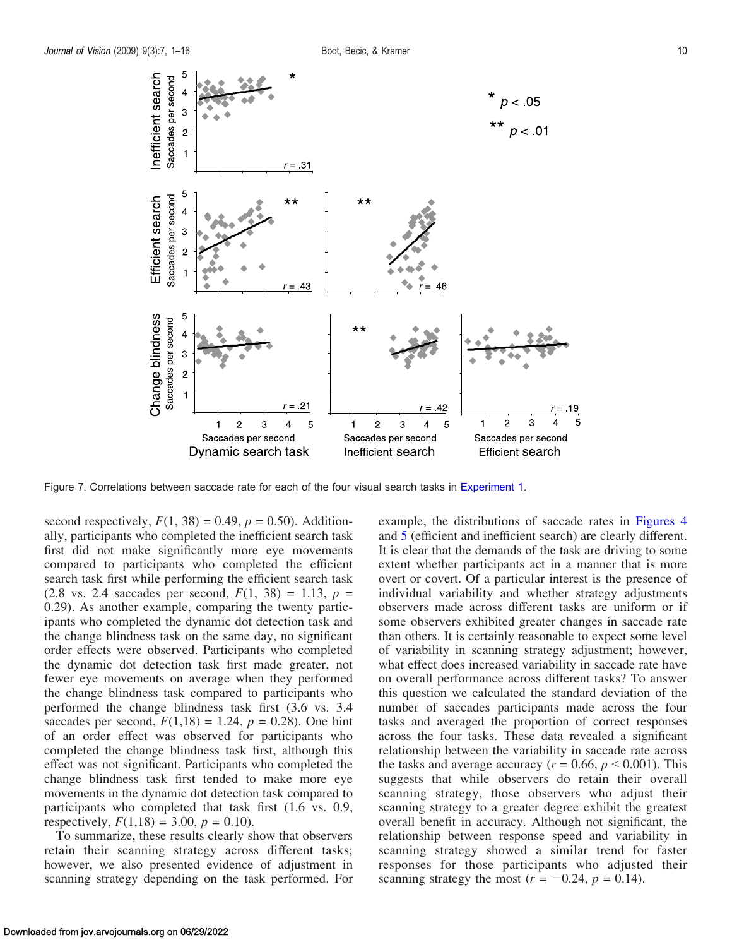<span id="page-9-0"></span>

Figure 7. Correlations between saccade rate for each of the four visual search tasks in [Experiment 1](#page-2-0).

second respectively,  $F(1, 38) = 0.49$ ,  $p = 0.50$ ). Additionally, participants who completed the inefficient search task first did not make significantly more eye movements compared to participants who completed the efficient search task first while performing the efficient search task  $(2.8 \text{ vs. } 2.4 \text{ saccades per second, } F(1, 38) = 1.13, p =$ 0.29). As another example, comparing the twenty participants who completed the dynamic dot detection task and the change blindness task on the same day, no significant order effects were observed. Participants who completed the dynamic dot detection task first made greater, not fewer eye movements on average when they performed the change blindness task compared to participants who performed the change blindness task first (3.6 vs. 3.4 saccades per second,  $F(1,18) = 1.24$ ,  $p = 0.28$ ). One hint of an order effect was observed for participants who completed the change blindness task first, although this effect was not significant. Participants who completed the change blindness task first tended to make more eye movements in the dynamic dot detection task compared to participants who completed that task first (1.6 vs. 0.9, respectively,  $F(1,18) = 3.00, p = 0.10$ .

To summarize, these results clearly show that observers retain their scanning strategy across different tasks; however, we also presented evidence of adjustment in scanning strategy depending on the task performed. For example, the distributions of saccade rates in [Figures 4](#page-6-0) and [5](#page-7-0) (efficient and inefficient search) are clearly different. It is clear that the demands of the task are driving to some extent whether participants act in a manner that is more overt or covert. Of a particular interest is the presence of individual variability and whether strategy adjustments observers made across different tasks are uniform or if some observers exhibited greater changes in saccade rate than others. It is certainly reasonable to expect some level of variability in scanning strategy adjustment; however, what effect does increased variability in saccade rate have on overall performance across different tasks? To answer this question we calculated the standard deviation of the number of saccades participants made across the four tasks and averaged the proportion of correct responses across the four tasks. These data revealed a significant relationship between the variability in saccade rate across the tasks and average accuracy ( $r = 0.66$ ,  $p < 0.001$ ). This suggests that while observers do retain their overall scanning strategy, those observers who adjust their scanning strategy to a greater degree exhibit the greatest overall benefit in accuracy. Although not significant, the relationship between response speed and variability in scanning strategy showed a similar trend for faster responses for those participants who adjusted their scanning strategy the most  $(r = -0.24, p = 0.14)$ .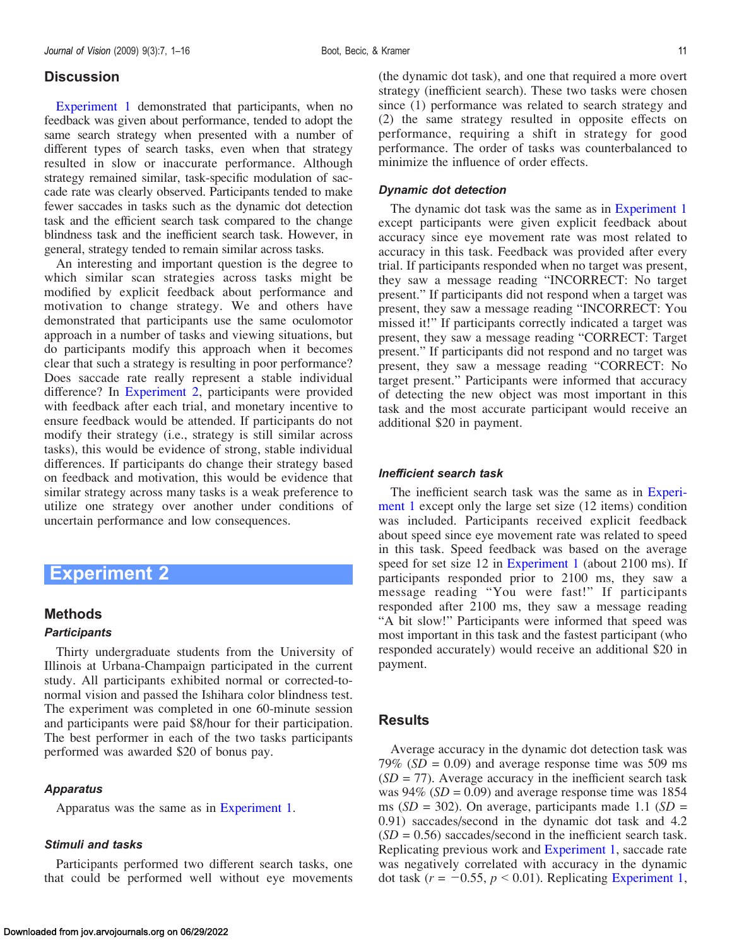### <span id="page-10-0"></span>**Discussion**

[Experiment 1](#page-2-0) demonstrated that participants, when no feedback was given about performance, tended to adopt the same search strategy when presented with a number of different types of search tasks, even when that strategy resulted in slow or inaccurate performance. Although strategy remained similar, task-specific modulation of saccade rate was clearly observed. Participants tended to make fewer saccades in tasks such as the dynamic dot detection task and the efficient search task compared to the change blindness task and the inefficient search task. However, in general, strategy tended to remain similar across tasks.

An interesting and important question is the degree to which similar scan strategies across tasks might be modified by explicit feedback about performance and motivation to change strategy. We and others have demonstrated that participants use the same oculomotor approach in a number of tasks and viewing situations, but do participants modify this approach when it becomes clear that such a strategy is resulting in poor performance? Does saccade rate really represent a stable individual difference? In Experiment 2, participants were provided with feedback after each trial, and monetary incentive to ensure feedback would be attended. If participants do not modify their strategy (i.e., strategy is still similar across tasks), this would be evidence of strong, stable individual differences. If participants do change their strategy based on feedback and motivation, this would be evidence that similar strategy across many tasks is a weak preference to utilize one strategy over another under conditions of uncertain performance and low consequences.

## Experiment 2

### Methods

#### **Participants**

Thirty undergraduate students from the University of Illinois at Urbana-Champaign participated in the current study. All participants exhibited normal or corrected-tonormal vision and passed the Ishihara color blindness test. The experiment was completed in one 60-minute session and participants were paid \$8/hour for their participation. The best performer in each of the two tasks participants performed was awarded \$20 of bonus pay.

#### **Apparatus**

Apparatus was the same as in [Experiment 1.](#page-2-0)

#### Stimuli and tasks

Participants performed two different search tasks, one that could be performed well without eye movements (the dynamic dot task), and one that required a more overt strategy (inefficient search). These two tasks were chosen since (1) performance was related to search strategy and (2) the same strategy resulted in opposite effects on performance, requiring a shift in strategy for good performance. The order of tasks was counterbalanced to minimize the influence of order effects.

### Dynamic dot detection

The dynamic dot task was the same as in [Experiment 1](#page-2-0) except participants were given explicit feedback about accuracy since eye movement rate was most related to accuracy in this task. Feedback was provided after every trial. If participants responded when no target was present, they saw a message reading "INCORRECT: No target present." If participants did not respond when a target was present, they saw a message reading "INCORRECT: You missed it!" If participants correctly indicated a target was present, they saw a message reading "CORRECT: Target present." If participants did not respond and no target was present, they saw a message reading "CORRECT: No target present." Participants were informed that accuracy of detecting the new object was most important in this task and the most accurate participant would receive an additional \$20 in payment.

#### Inefficient search task

The inefficient search task was the same as in [Experi](#page-2-0)[ment 1](#page-2-0) except only the large set size (12 items) condition was included. Participants received explicit feedback about speed since eye movement rate was related to speed in this task. Speed feedback was based on the average speed for set size 12 in [Experiment 1](#page-2-0) (about 2100 ms). If participants responded prior to 2100 ms, they saw a message reading "You were fast!" If participants responded after 2100 ms, they saw a message reading "A bit slow!" Participants were informed that speed was most important in this task and the fastest participant (who responded accurately) would receive an additional \$20 in payment.

### Results

Average accuracy in the dynamic dot detection task was 79% ( $SD = 0.09$ ) and average response time was 509 ms  $(SD = 77)$ . Average accuracy in the inefficient search task was  $94\%$  (SD = 0.09) and average response time was 1854 ms ( $SD = 302$ ). On average, participants made 1.1 ( $SD =$ 0.91) saccades/second in the dynamic dot task and 4.2  $(SD = 0.56)$  saccades/second in the inefficient search task. Replicating previous work and [Experiment 1](#page-2-0), saccade rate was negatively correlated with accuracy in the dynamic dot task ( $r = -0.55$ ,  $p < 0.01$ ). Replicating [Experiment 1](#page-2-0),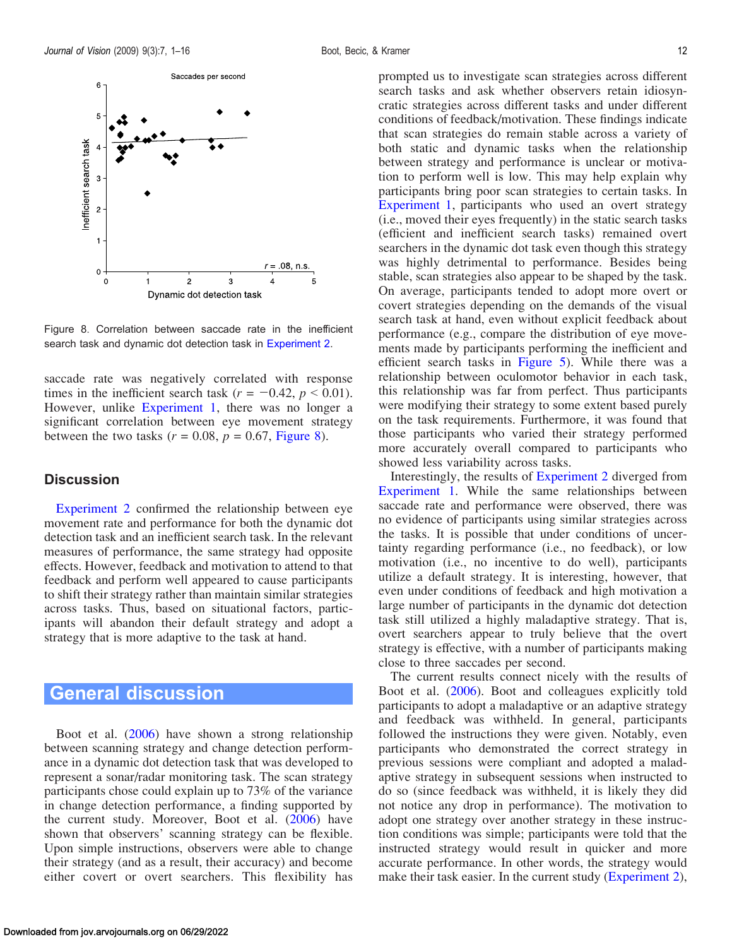

Figure 8. Correlation between saccade rate in the inefficient search task and dynamic dot detection task in [Experiment 2](#page-10-0).

saccade rate was negatively correlated with response times in the inefficient search task ( $r = -0.42$ ,  $p < 0.01$ ). However, unlike [Experiment 1](#page-2-0), there was no longer a significant correlation between eye movement strategy between the two tasks  $(r = 0.08, p = 0.67,$  Figure 8).

### **Discussion**

[Experiment 2](#page-10-0) confirmed the relationship between eye movement rate and performance for both the dynamic dot detection task and an inefficient search task. In the relevant measures of performance, the same strategy had opposite effects. However, feedback and motivation to attend to that feedback and perform well appeared to cause participants to shift their strategy rather than maintain similar strategies across tasks. Thus, based on situational factors, participants will abandon their default strategy and adopt a strategy that is more adaptive to the task at hand.

## General discussion

Boot et al. ([2006\)](#page-13-0) have shown a strong relationship between scanning strategy and change detection performance in a dynamic dot detection task that was developed to represent a sonar/radar monitoring task. The scan strategy participants chose could explain up to 73% of the variance in change detection performance, a finding supported by the current study. Moreover, Boot et al. ([2006](#page-13-0)) have shown that observers' scanning strategy can be flexible. Upon simple instructions, observers were able to change their strategy (and as a result, their accuracy) and become either covert or overt searchers. This flexibility has prompted us to investigate scan strategies across different search tasks and ask whether observers retain idiosyncratic strategies across different tasks and under different conditions of feedback/motivation. These findings indicate that scan strategies do remain stable across a variety of both static and dynamic tasks when the relationship between strategy and performance is unclear or motivation to perform well is low. This may help explain why participants bring poor scan strategies to certain tasks. In [Experiment 1](#page-2-0), participants who used an overt strategy (i.e., moved their eyes frequently) in the static search tasks (efficient and inefficient search tasks) remained overt searchers in the dynamic dot task even though this strategy was highly detrimental to performance. Besides being stable, scan strategies also appear to be shaped by the task. On average, participants tended to adopt more overt or covert strategies depending on the demands of the visual search task at hand, even without explicit feedback about performance (e.g., compare the distribution of eye movements made by participants performing the inefficient and efficient search tasks in [Figure 5\)](#page-7-0). While there was a relationship between oculomotor behavior in each task, this relationship was far from perfect. Thus participants were modifying their strategy to some extent based purely on the task requirements. Furthermore, it was found that those participants who varied their strategy performed more accurately overall compared to participants who showed less variability across tasks.

Interestingly, the results of [Experiment 2](#page-10-0) diverged from [Experiment 1.](#page-2-0) While the same relationships between saccade rate and performance were observed, there was no evidence of participants using similar strategies across the tasks. It is possible that under conditions of uncertainty regarding performance (i.e., no feedback), or low motivation (i.e., no incentive to do well), participants utilize a default strategy. It is interesting, however, that even under conditions of feedback and high motivation a large number of participants in the dynamic dot detection task still utilized a highly maladaptive strategy. That is, overt searchers appear to truly believe that the overt strategy is effective, with a number of participants making close to three saccades per second.

The current results connect nicely with the results of Boot et al. ([2006\)](#page-13-0). Boot and colleagues explicitly told participants to adopt a maladaptive or an adaptive strategy and feedback was withheld. In general, participants followed the instructions they were given. Notably, even participants who demonstrated the correct strategy in previous sessions were compliant and adopted a maladaptive strategy in subsequent sessions when instructed to do so (since feedback was withheld, it is likely they did not notice any drop in performance). The motivation to adopt one strategy over another strategy in these instruction conditions was simple; participants were told that the instructed strategy would result in quicker and more accurate performance. In other words, the strategy would make their task easier. In the current study ([Experiment 2\)](#page-10-0),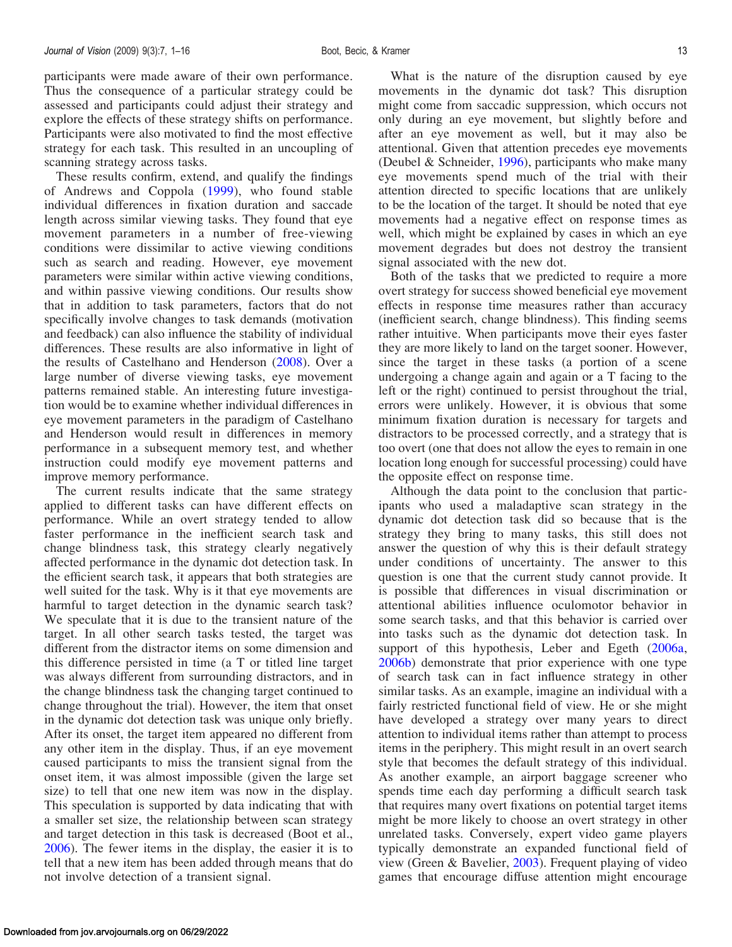participants were made aware of their own performance. Thus the consequence of a particular strategy could be assessed and participants could adjust their strategy and explore the effects of these strategy shifts on performance. Participants were also motivated to find the most effective strategy for each task. This resulted in an uncoupling of scanning strategy across tasks.

These results confirm, extend, and qualify the findings of Andrews and Coppola [\(1999\)](#page-13-0), who found stable individual differences in fixation duration and saccade length across similar viewing tasks. They found that eye movement parameters in a number of free-viewing conditions were dissimilar to active viewing conditions such as search and reading. However, eye movement parameters were similar within active viewing conditions, and within passive viewing conditions. Our results show that in addition to task parameters, factors that do not specifically involve changes to task demands (motivation and feedback) can also influence the stability of individual differences. These results are also informative in light of the results of Castelhano and Henderson [\(2008](#page-13-0)). Over a large number of diverse viewing tasks, eye movement patterns remained stable. An interesting future investigation would be to examine whether individual differences in eye movement parameters in the paradigm of Castelhano and Henderson would result in differences in memory performance in a subsequent memory test, and whether instruction could modify eye movement patterns and improve memory performance.

The current results indicate that the same strategy applied to different tasks can have different effects on performance. While an overt strategy tended to allow faster performance in the inefficient search task and change blindness task, this strategy clearly negatively affected performance in the dynamic dot detection task. In the efficient search task, it appears that both strategies are well suited for the task. Why is it that eye movements are harmful to target detection in the dynamic search task? We speculate that it is due to the transient nature of the target. In all other search tasks tested, the target was different from the distractor items on some dimension and this difference persisted in time (a T or titled line target was always different from surrounding distractors, and in the change blindness task the changing target continued to change throughout the trial). However, the item that onset in the dynamic dot detection task was unique only briefly. After its onset, the target item appeared no different from any other item in the display. Thus, if an eye movement caused participants to miss the transient signal from the onset item, it was almost impossible (given the large set size) to tell that one new item was now in the display. This speculation is supported by data indicating that with a smaller set size, the relationship between scan strategy and target detection in this task is decreased (Boot et al., [2006\)](#page-13-0). The fewer items in the display, the easier it is to tell that a new item has been added through means that do not involve detection of a transient signal.

What is the nature of the disruption caused by eye movements in the dynamic dot task? This disruption might come from saccadic suppression, which occurs not only during an eye movement, but slightly before and after an eye movement as well, but it may also be attentional. Given that attention precedes eye movements (Deubel & Schneider, [1996](#page-13-0)), participants who make many eye movements spend much of the trial with their attention directed to specific locations that are unlikely to be the location of the target. It should be noted that eye movements had a negative effect on response times as well, which might be explained by cases in which an eye movement degrades but does not destroy the transient signal associated with the new dot.

Both of the tasks that we predicted to require a more overt strategy for success showed beneficial eye movement effects in response time measures rather than accuracy (inefficient search, change blindness). This finding seems rather intuitive. When participants move their eyes faster they are more likely to land on the target sooner. However, since the target in these tasks (a portion of a scene undergoing a change again and again or a T facing to the left or the right) continued to persist throughout the trial, errors were unlikely. However, it is obvious that some minimum fixation duration is necessary for targets and distractors to be processed correctly, and a strategy that is too overt (one that does not allow the eyes to remain in one location long enough for successful processing) could have the opposite effect on response time.

Although the data point to the conclusion that participants who used a maladaptive scan strategy in the dynamic dot detection task did so because that is the strategy they bring to many tasks, this still does not answer the question of why this is their default strategy under conditions of uncertainty. The answer to this question is one that the current study cannot provide. It is possible that differences in visual discrimination or attentional abilities influence oculomotor behavior in some search tasks, and that this behavior is carried over into tasks such as the dynamic dot detection task. In support of this hypothesis, Leber and Egeth [\(2006a](#page-14-0), [2006b](#page-14-0)) demonstrate that prior experience with one type of search task can in fact influence strategy in other similar tasks. As an example, imagine an individual with a fairly restricted functional field of view. He or she might have developed a strategy over many years to direct attention to individual items rather than attempt to process items in the periphery. This might result in an overt search style that becomes the default strategy of this individual. As another example, an airport baggage screener who spends time each day performing a difficult search task that requires many overt fixations on potential target items might be more likely to choose an overt strategy in other unrelated tasks. Conversely, expert video game players typically demonstrate an expanded functional field of view (Green & Bavelier, [2003](#page-14-0)). Frequent playing of video games that encourage diffuse attention might encourage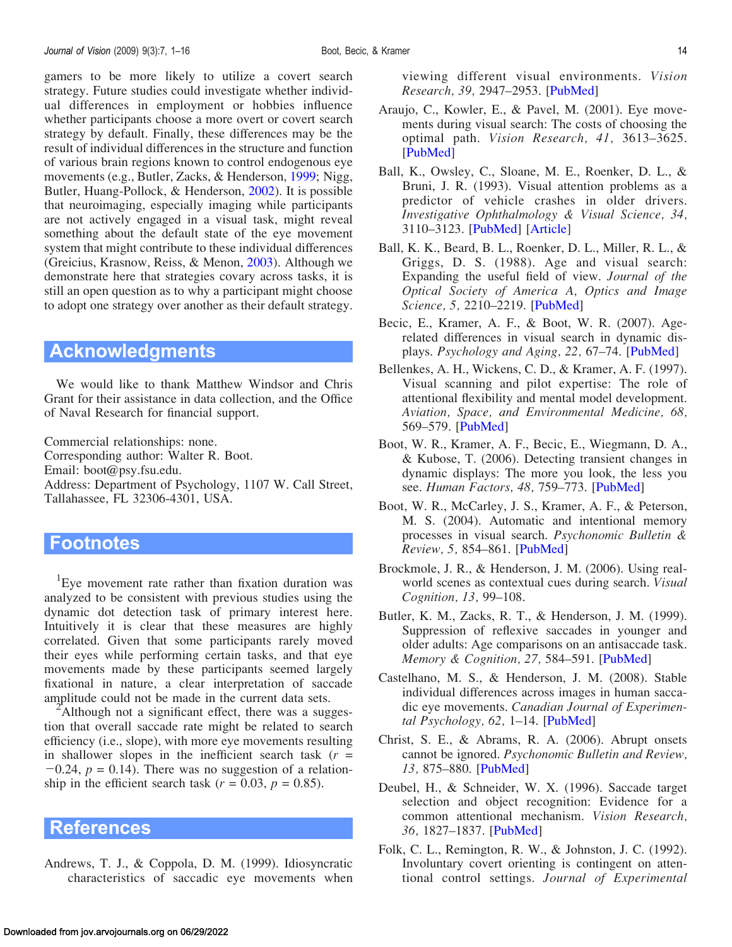<span id="page-13-0"></span>gamers to be more likely to utilize a covert search strategy. Future studies could investigate whether individual differences in employment or hobbies influence whether participants choose a more overt or covert search strategy by default. Finally, these differences may be the result of individual differences in the structure and function of various brain regions known to control endogenous eye movements (e.g., Butler, Zacks, & Henderson, 1999; Nigg, Butler, Huang-Pollock, & Henderson, [2002\)](#page-14-0). It is possible that neuroimaging, especially imaging while participants are not actively engaged in a visual task, might reveal something about the default state of the eye movement system that might contribute to these individual differences (Greicius, Krasnow, Reiss, & Menon, [2003\)](#page-14-0). Although we demonstrate here that strategies covary across tasks, it is still an open question as to why a participant might choose to adopt one strategy over another as their default strategy.

## Acknowledgments

We would like to thank Matthew Windsor and Chris Grant for their assistance in data collection, and the Office of Naval Research for financial support.

Commercial relationships: none. Corresponding author: Walter R. Boot. Email: boot@psy.fsu.edu. Address: Department of Psychology, 1107 W. Call Street, Tallahassee, FL 32306-4301, USA.

## Footnotes

<sup>1</sup>Eye movement rate rather than fixation duration was analyzed to be consistent with previous studies using the dynamic dot detection task of primary interest here. Intuitively it is clear that these measures are highly correlated. Given that some participants rarely moved their eyes while performing certain tasks, and that eye movements made by these participants seemed largely fixational in nature, a clear interpretation of saccade amplitude could not be made in the current data sets. <sup>2</sup>

 $A$ lthough not a significant effect, there was a suggestion that overall saccade rate might be related to search efficiency (i.e., slope), with more eye movements resulting in shallower slopes in the inefficient search task  $(r =$  $-0.24$ ,  $p = 0.14$ ). There was no suggestion of a relationship in the efficient search task ( $r = 0.03$ ,  $p = 0.85$ ).

## References

Andrews, T. J., & Coppola, D. M. (1999). Idiosyncratic characteristics of saccadic eye movements when viewing different visual environments. Vision Research, 39, 2947–2953. [\[PubMed](http://www.ncbi.nlm.nih.gov/pubmed/10492820?ordinalpos=9&itool=EntrezSystem2.PEntrez.Pubmed.Pubmed_ResultsPanel.Pubmed_DefaultReportPanel.Pubmed_RVDocSum)]

- Araujo, C., Kowler, E., & Pavel, M. (2001). Eye movements during visual search: The costs of choosing the optimal path. Vision Research, 41, 3613–3625. [\[PubMed](http://www.ncbi.nlm.nih.gov/pubmed/11718799?ordinalpos=27&itool=EntrezSystem2.PEntrez.Pubmed.Pubmed_ResultsPanel.Pubmed_DefaultReportPanel.Pubmed_RVDocSum)]
- Ball, K., Owsley, C., Sloane, M. E., Roenker, D. L., & Bruni, J. R. (1993). Visual attention problems as a predictor of vehicle crashes in older drivers. Investigative Ophthalmology & Visual Science, 34, 3110–3123. [[PubMed\]](http://www.ncbi.nlm.nih.gov/pubmed/8407219?ordinalpos=285&itool=EntrezSystem2.PEntrez.Pubmed.Pubmed_ResultsPanel.Pubmed_DefaultReportPanel.Pubmed_RVDocSum) [[Article](http://www.iovs.org/cgi/reprint/34/11/3110)]
- Ball, K. K., Beard, B. L., Roenker, D. L., Miller, R. L., & Griggs, D. S. (1988). Age and visual search: Expanding the useful field of view. Journal of the Optical Society of America A, Optics and Image Science, 5, 2210–2219. [[PubMed\]](http://www.ncbi.nlm.nih.gov/pubmed/3230491?ordinalpos=22&itool=EntrezSystem2.PEntrez.Pubmed.Pubmed_ResultsPanel.Pubmed_DefaultReportPanel.Pubmed_RVDocSum)
- Becic, E., Kramer, A. F., & Boot, W. R. (2007). Agerelated differences in visual search in dynamic dis-plays. Psychology and Aging, 22, 67–74. [[PubMed\]](http://www.ncbi.nlm.nih.gov/pubmed/17385984?ordinalpos=5&itool=EntrezSystem2.PEntrez.Pubmed.Pubmed_ResultsPanel.Pubmed_DefaultReportPanel.Pubmed_RVDocSum)
- Bellenkes, A. H., Wickens, C. D., & Kramer, A. F. (1997). Visual scanning and pilot expertise: The role of attentional flexibility and mental model development. Aviation, Space, and Environmental Medicine, 68, 569–579. [[PubMed\]](http://www.ncbi.nlm.nih.gov/pubmed/9215461?ordinalpos=1&itool=EntrezSystem2.PEntrez.Pubmed.Pubmed_ResultsPanel.Pubmed_DefaultReportPanel.Pubmed_RVDocSum)
- Boot, W. R., Kramer, A. F., Becic, E., Wiegmann, D. A., & Kubose, T. (2006). Detecting transient changes in dynamic displays: The more you look, the less you see. Human Factors, 48, 759-773. [[PubMed\]](http://www.ncbi.nlm.nih.gov/pubmed/17240723?ordinalpos=8&itool=EntrezSystem2.PEntrez.Pubmed.Pubmed_ResultsPanel.Pubmed_DefaultReportPanel.Pubmed_RVDocSum)
- Boot, W. R., McCarley, J. S., Kramer, A. F., & Peterson, M. S. (2004). Automatic and intentional memory processes in visual search. Psychonomic Bulletin & Review, 5, 854–861. [[PubMed\]](http://www.ncbi.nlm.nih.gov/pubmed/15732694?ordinalpos=11&itool=EntrezSystem2.PEntrez.Pubmed.Pubmed_ResultsPanel.Pubmed_DefaultReportPanel.Pubmed_RVDocSum)
- Brockmole, J. R., & Henderson, J. M. (2006). Using realworld scenes as contextual cues during search. Visual Cognition, 13, 99–108.
- Butler, K. M., Zacks, R. T., & Henderson, J. M. (1999). Suppression of reflexive saccades in younger and older adults: Age comparisons on an antisaccade task. Memory & Cognition, 27, 584–591. [[PubMed\]](http://www.ncbi.nlm.nih.gov/pubmed/10479817?ordinalpos=25&itool=EntrezSystem2.PEntrez.Pubmed.Pubmed_ResultsPanel.Pubmed_DefaultReportPanel.Pubmed_RVDocSum)
- Castelhano, M. S., & Henderson, J. M. (2008). Stable individual differences across images in human saccadic eye movements. Canadian Journal of Experimental Psychology,  $62$ , 1–14. [[PubMed\]](http://www.ncbi.nlm.nih.gov/pubmed/18473624?ordinalpos=1&itool=EntrezSystem2.PEntrez.Pubmed.Pubmed_ResultsPanel.Pubmed_DefaultReportPanel.Pubmed_RVDocSum)
- Christ, S. E., & Abrams, R. A. (2006). Abrupt onsets cannot be ignored. Psychonomic Bulletin and Review, 13, 875–880. [\[PubMed](http://www.ncbi.nlm.nih.gov/pubmed/17328388?ordinalpos=7&itool=EntrezSystem2.PEntrez.Pubmed.Pubmed_ResultsPanel.Pubmed_DefaultReportPanel.Pubmed_RVDocSum)]
- Deubel, H., & Schneider, W. X. (1996). Saccade target selection and object recognition: Evidence for a common attentional mechanism. Vision Research, 36, 1827–1837. [\[PubMed](http://www.ncbi.nlm.nih.gov/pubmed/8759451?ordinalpos=17&itool=EntrezSystem2.PEntrez.Pubmed.Pubmed_ResultsPanel.Pubmed_DefaultReportPanel.Pubmed_RVDocSum)]
- Folk, C. L., Remington, R. W., & Johnston, J. C. (1992). Involuntary covert orienting is contingent on attentional control settings. Journal of Experimental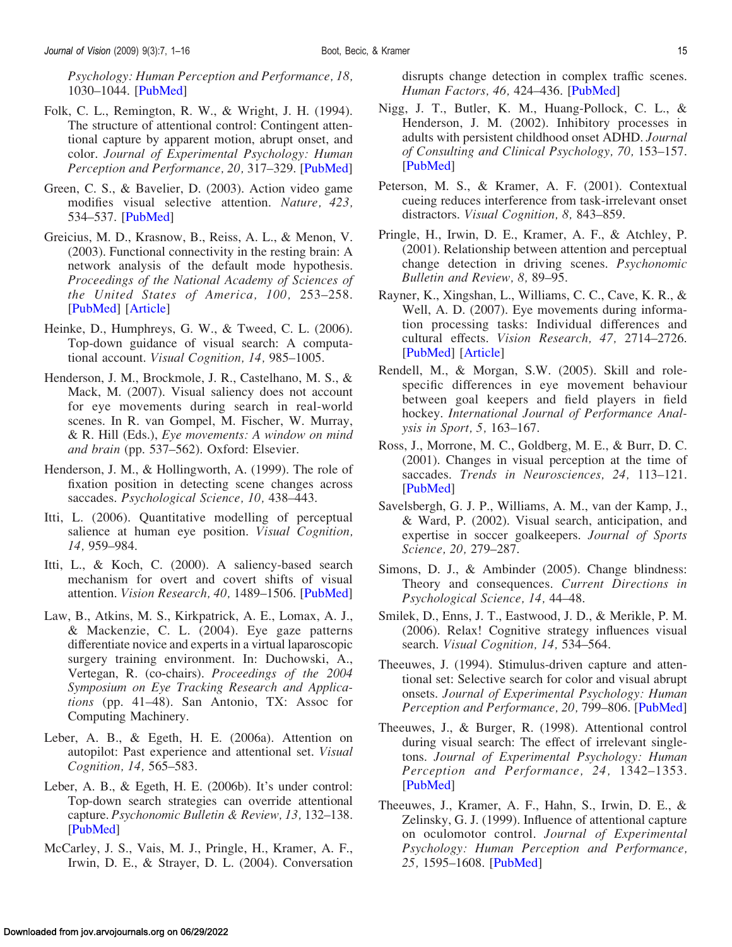<span id="page-14-0"></span>Psychology: Human Perception and Performance, 18, 1030–1044. [\[PubMed](http://www.ncbi.nlm.nih.gov/pubmed/1431742?ordinalpos=3&itool=EntrezSystem2.PEntrez.Pubmed.Pubmed_ResultsPanel.Pubmed_DefaultReportPanel.Pubmed_RVDocSum)]

- Folk, C. L., Remington, R. W., & Wright, J. H. (1994). The structure of attentional control: Contingent attentional capture by apparent motion, abrupt onset, and color. Journal of Experimental Psychology: Human Perception and Performance, 20, 317-329. [[PubMed\]](http://www.ncbi.nlm.nih.gov/pubmed/8189195?ordinalpos=12&itool=EntrezSystem2.PEntrez.Pubmed.Pubmed_ResultsPanel.Pubmed_DefaultReportPanel.Pubmed_RVDocSum)
- Green, C. S., & Bavelier, D. (2003). Action video game modifies visual selective attention. Nature, 423, 534–537. [\[PubMed](http://www.ncbi.nlm.nih.gov/pubmed/12774121?ordinalpos=10&itool=EntrezSystem2.PEntrez.Pubmed.Pubmed_ResultsPanel.Pubmed_DefaultReportPanel.Pubmed_RVDocSum)]
- Greicius, M. D., Krasnow, B., Reiss, A. L., & Menon, V. (2003). Functional connectivity in the resting brain: A network analysis of the default mode hypothesis. Proceedings of the National Academy of Sciences of the United States of America, 100, 253–258. [\[PubMed](http://www.ncbi.nlm.nih.gov/pubmed/12506194?ordinalpos=5&itool=EntrezSystem2.PEntrez.Pubmed.Pubmed_ResultsPanel.Pubmed_DefaultReportPanel.Pubmed_RVDocSum)] [\[Article\]](http://www.pubmedcentral.nih.gov/articlerender.fcgi?tool=pubmed&pubmedid=12506194)
- Heinke, D., Humphreys, G. W., & Tweed, C. L. (2006). Top-down guidance of visual search: A computational account. Visual Cognition, 14, 985–1005.
- Henderson, J. M., Brockmole, J. R., Castelhano, M. S., & Mack, M. (2007). Visual saliency does not account for eye movements during search in real-world scenes. In R. van Gompel, M. Fischer, W. Murray, & R. Hill (Eds.), Eye movements: A window on mind and brain (pp. 537–562). Oxford: Elsevier.
- Henderson, J. M., & Hollingworth, A. (1999). The role of fixation position in detecting scene changes across saccades. Psychological Science, 10, 438–443.
- Itti, L. (2006). Quantitative modelling of perceptual salience at human eye position. Visual Cognition, 14, 959–984.
- Itti, L., & Koch, C. (2000). A saliency-based search mechanism for overt and covert shifts of visual attention. Vision Research, 40, 1489–1506. [[PubMed\]](http://www.ncbi.nlm.nih.gov/pubmed/10788654?ordinalpos=23&itool=EntrezSystem2.PEntrez.Pubmed.Pubmed_ResultsPanel.Pubmed_DefaultReportPanel.Pubmed_RVDocSum)
- Law, B., Atkins, M. S., Kirkpatrick, A. E., Lomax, A. J., & Mackenzie, C. L. (2004). Eye gaze patterns differentiate novice and experts in a virtual laparoscopic surgery training environment. In: Duchowski, A., Vertegan, R. (co-chairs). Proceedings of the 2004 Symposium on Eye Tracking Research and Applications (pp. 41–48). San Antonio, TX: Assoc for Computing Machinery.
- Leber, A. B., & Egeth, H. E. (2006a). Attention on autopilot: Past experience and attentional set. Visual Cognition, 14, 565–583.
- Leber, A. B., & Egeth, H. E. (2006b). It's under control: Top-down search strategies can override attentional capture. Psychonomic Bulletin & Review, 13, 132–138. [\[PubMed\]](http://www.ncbi.nlm.nih.gov/pubmed/16724780?ordinalpos=3&itool=EntrezSystem2.PEntrez.Pubmed.Pubmed_ResultsPanel.Pubmed_DefaultReportPanel.Pubmed_RVDocSum)
- McCarley, J. S., Vais, M. J., Pringle, H., Kramer, A. F., Irwin, D. E., & Strayer, D. L. (2004). Conversation

disrupts change detection in complex traffic scenes. Human Factors, 46, 424-436. [\[PubMed](http://www.ncbi.nlm.nih.gov/pubmed/15573543?ordinalpos=12&itool=EntrezSystem2.PEntrez.Pubmed.Pubmed_ResultsPanel.Pubmed_DefaultReportPanel.Pubmed_RVDocSum)]

- Nigg, J. T., Butler, K. M., Huang-Pollock, C. L., & Henderson, J. M. (2002). Inhibitory processes in adults with persistent childhood onset ADHD. Journal of Consulting and Clinical Psychology, 70, 153–157. [\[PubMed](http://www.ncbi.nlm.nih.gov/pubmed/11860041?ordinalpos=50&itool=EntrezSystem2.PEntrez.Pubmed.Pubmed_ResultsPanel.Pubmed_DefaultReportPanel.Pubmed_RVDocSum)]
- Peterson, M. S., & Kramer, A. F. (2001). Contextual cueing reduces interference from task-irrelevant onset distractors. Visual Cognition, 8, 843–859.
- Pringle, H., Irwin, D. E., Kramer, A. F., & Atchley, P. (2001). Relationship between attention and perceptual change detection in driving scenes. Psychonomic Bulletin and Review, 8, 89–95.
- Rayner, K., Xingshan, L., Williams, C. C., Cave, K. R., & Well, A. D. (2007). Eye movements during information processing tasks: Individual differences and cultural effects. Vision Research, 47, 2714–2726. [\[PubMed](http://www.ncbi.nlm.nih.gov/pubmed/17614113?ordinalpos=1&itool=EntrezSystem2.PEntrez.Pubmed.Pubmed_ResultsPanel.Pubmed_DefaultReportPanel.Pubmed_RVDocSum)] [\[Article\]](http://www.pubmedcentral.nih.gov/articlerender.fcgi?tool=pubmed&pubmedid=17614113)
- Rendell, M., & Morgan, S.W. (2005). Skill and rolespecific differences in eye movement behaviour between goal keepers and field players in field hockey. International Journal of Performance Analysis in Sport, 5, 163–167.
- Ross, J., Morrone, M. C., Goldberg, M. E., & Burr, D. C. (2001). Changes in visual perception at the time of saccades. Trends in Neurosciences, 24, 113-121. [\[PubMed](http://www.ncbi.nlm.nih.gov/pubmed/11164942?ordinalpos=26&itool=EntrezSystem2.PEntrez.Pubmed.Pubmed_ResultsPanel.Pubmed_DefaultReportPanel.Pubmed_RVDocSum)]
- Savelsbergh, G. J. P., Williams, A. M., van der Kamp, J., & Ward, P. (2002). Visual search, anticipation, and expertise in soccer goalkeepers. Journal of Sports Science, 20, 279–287.
- Simons, D. J., & Ambinder (2005). Change blindness: Theory and consequences. Current Directions in Psychological Science, 14, 44–48.
- Smilek, D., Enns, J. T., Eastwood, J. D., & Merikle, P. M. (2006). Relax! Cognitive strategy influences visual search. Visual Cognition, 14, 534-564.
- Theeuwes, J. (1994). Stimulus-driven capture and attentional set: Selective search for color and visual abrupt onsets. Journal of Experimental Psychology: Human Perception and Performance, 20, 799–806. [\[PubMed](http://www.ncbi.nlm.nih.gov/pubmed/8083635?ordinalpos=10&itool=EntrezSystem2.PEntrez.Pubmed.Pubmed_ResultsPanel.Pubmed_DefaultReportPanel.Pubmed_RVDocSum)]
- Theeuwes, J., & Burger, R. (1998). Attentional control during visual search: The effect of irrelevant singletons. Journal of Experimental Psychology: Human Perception and Performance, 24, 1342–1353. [\[PubMed](http://www.ncbi.nlm.nih.gov/pubmed/9778827?ordinalpos=4&itool=EntrezSystem2.PEntrez.Pubmed.Pubmed_ResultsPanel.Pubmed_DefaultReportPanel.Pubmed_RVDocSum)]
- Theeuwes, J., Kramer, A. F., Hahn, S., Irwin, D. E., & Zelinsky, G. J. (1999). Influence of attentional capture on oculomotor control. Journal of Experimental Psychology: Human Perception and Performance, 25, 1595–1608. [\[PubMed](http://www.ncbi.nlm.nih.gov/pubmed/10641312?ordinalpos=2&itool=EntrezSystem2.PEntrez.Pubmed.Pubmed_ResultsPanel.Pubmed_DefaultReportPanel.Pubmed_RVDocSum)]